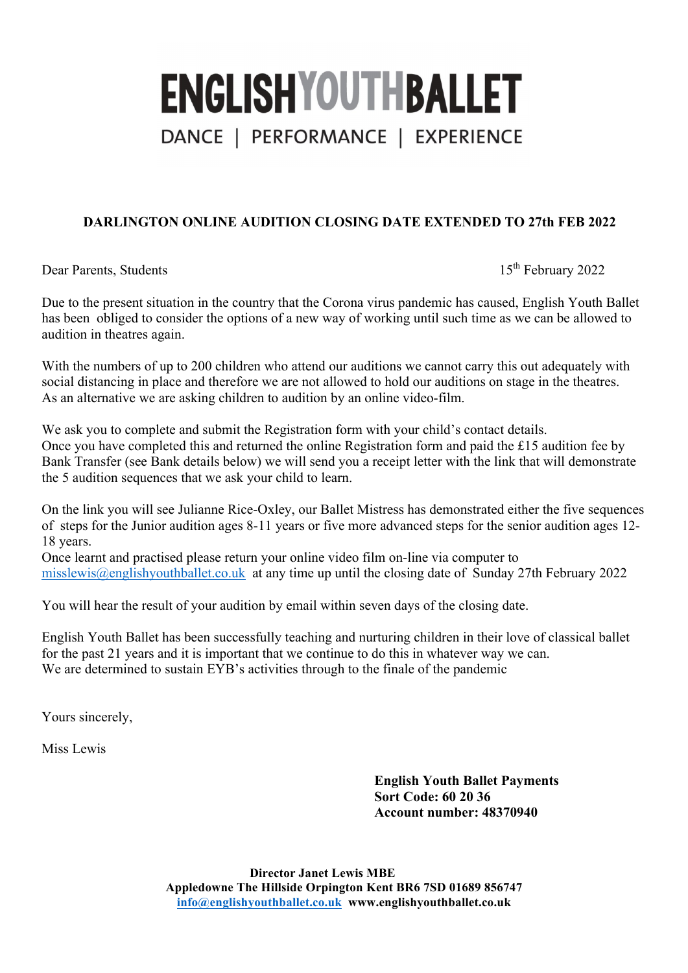# **ENGLISHYOUTHBALLET** DANCE | PERFORMANCE | EXPERIENCE

### **DARLINGTON ONLINE AUDITION CLOSING DATE EXTENDED TO 27th FEB 2022**

Dear Parents, Students 15<sup>th</sup> February 2022

Due to the present situation in the country that the Corona virus pandemic has caused, English Youth Ballet has been obliged to consider the options of a new way of working until such time as we can be allowed to audition in theatres again.

With the numbers of up to 200 children who attend our auditions we cannot carry this out adequately with social distancing in place and therefore we are not allowed to hold our auditions on stage in the theatres. As an alternative we are asking children to audition by an online video-film.

We ask you to complete and submit the Registration form with your child's contact details. Once you have completed this and returned the online Registration form and paid the £15 audition fee by Bank Transfer (see Bank details below) we will send you a receipt letter with the link that will demonstrate the 5 audition sequences that we ask your child to learn.

On the link you will see Julianne Rice-Oxley, our Ballet Mistress has demonstrated either the five sequences of steps for the Junior audition ages 8-11 years or five more advanced steps for the senior audition ages 12- 18 years.

Once learnt and practised please return your online video film on-line via computer to misslewis@englishyouthballet.co.uk at any time up until the closing date of Sunday 27th February 2022

You will hear the result of your audition by email within seven days of the closing date.

English Youth Ballet has been successfully teaching and nurturing children in their love of classical ballet for the past 21 years and it is important that we continue to do this in whatever way we can. We are determined to sustain EYB's activities through to the finale of the pandemic

Yours sincerely,

Miss Lewis

**English Youth Ballet Payments Sort Code: 60 20 36 Account number: 48370940**

**Director Janet Lewis MBE Appledowne The Hillside Orpington Kent BR6 7SD 01689 856747 info@englishyouthballet.co.uk www.englishyouthballet.co.uk**